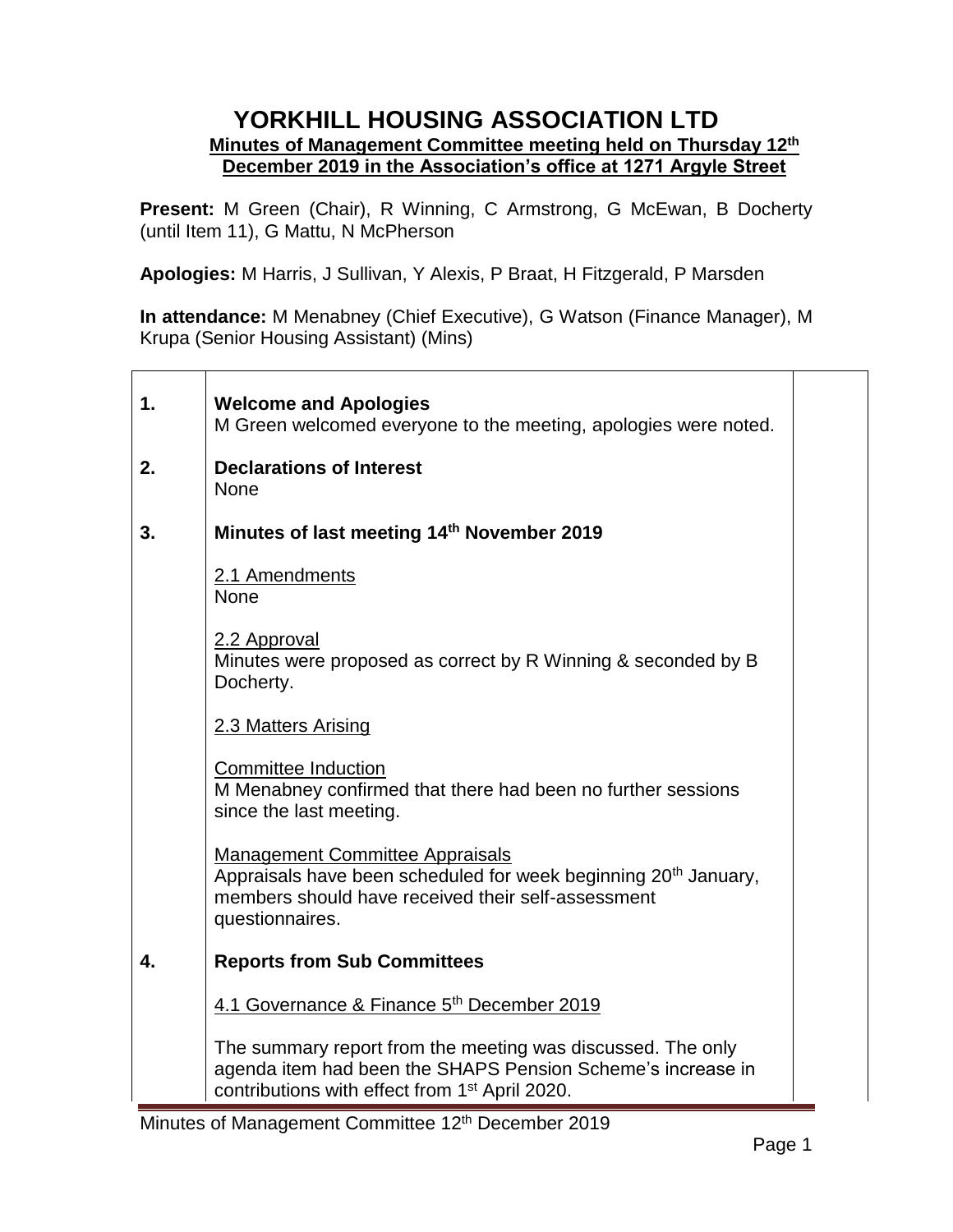## **YORKHILL HOUSING ASSOCIATION LTD Minutes of Management Committee meeting held on Thursday 12 th December 2019 in the Association's office at 1271 Argyle Street**

Present: M Green (Chair), R Winning, C Armstrong, G McEwan, B Docherty (until Item 11), G Mattu, N McPherson

**Apologies:** M Harris, J Sullivan, Y Alexis, P Braat, H Fitzgerald, P Marsden

**In attendance:** M Menabney (Chief Executive), G Watson (Finance Manager), M Krupa (Senior Housing Assistant) (Mins)

| 1. | <b>Welcome and Apologies</b><br>M Green welcomed everyone to the meeting, apologies were noted.                                                                                                |  |
|----|------------------------------------------------------------------------------------------------------------------------------------------------------------------------------------------------|--|
| 2. | <b>Declarations of Interest</b><br><b>None</b>                                                                                                                                                 |  |
| 3. | Minutes of last meeting 14th November 2019                                                                                                                                                     |  |
|    | 2.1 Amendments<br><b>None</b>                                                                                                                                                                  |  |
|    | 2.2 Approval<br>Minutes were proposed as correct by R Winning & seconded by B<br>Docherty.                                                                                                     |  |
|    | 2.3 Matters Arising                                                                                                                                                                            |  |
|    | <b>Committee Induction</b><br>M Menabney confirmed that there had been no further sessions<br>since the last meeting.                                                                          |  |
|    | <b>Management Committee Appraisals</b><br>Appraisals have been scheduled for week beginning 20 <sup>th</sup> January,<br>members should have received their self-assessment<br>questionnaires. |  |
| 4. | <b>Reports from Sub Committees</b>                                                                                                                                                             |  |
|    | 4.1 Governance & Finance 5th December 2019                                                                                                                                                     |  |
|    | The summary report from the meeting was discussed. The only<br>agenda item had been the SHAPS Pension Scheme's increase in<br>contributions with effect from 1 <sup>st</sup> April 2020.       |  |

Minutes of Management Committee 12<sup>th</sup> December 2019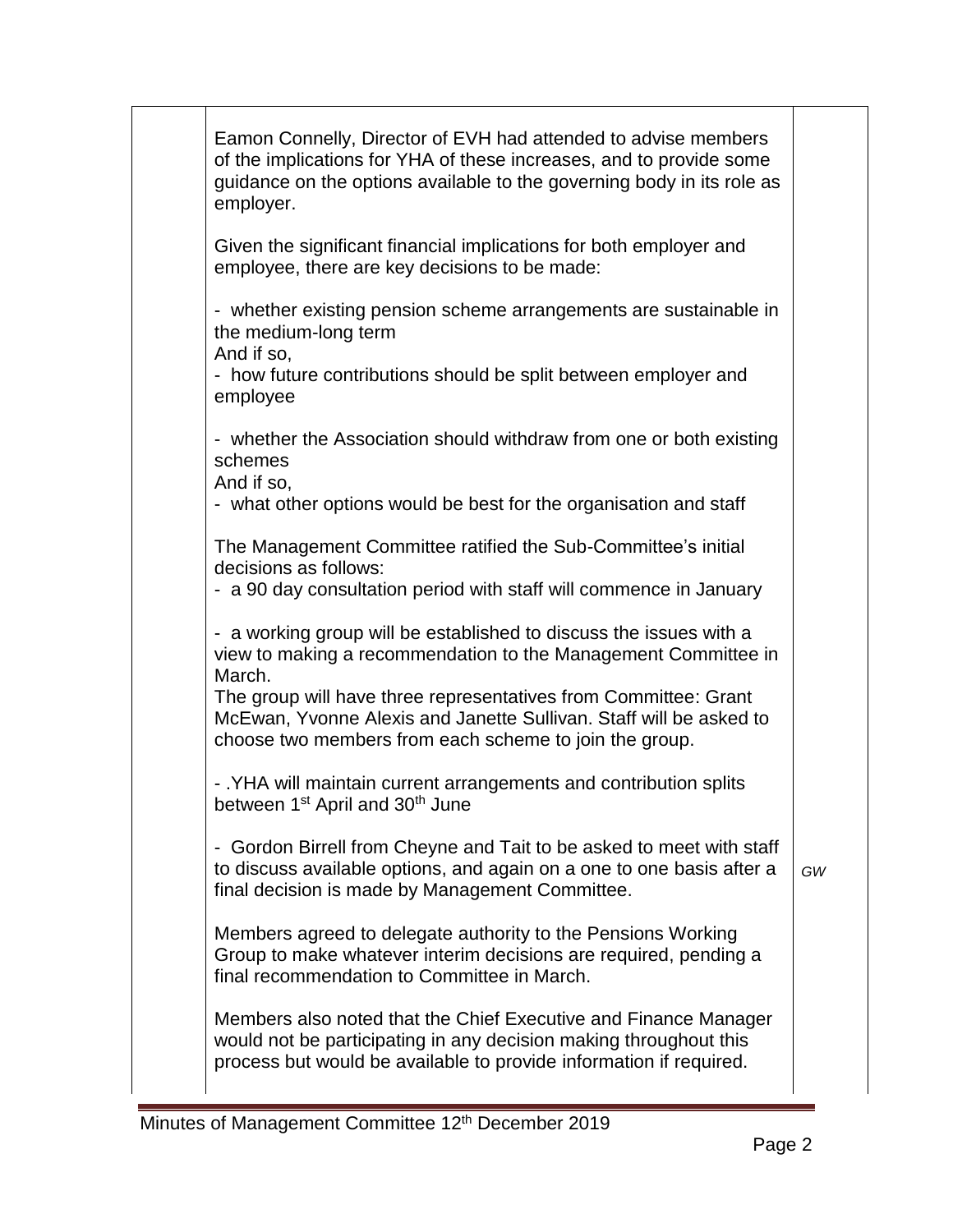| Eamon Connelly, Director of EVH had attended to advise members<br>of the implications for YHA of these increases, and to provide some<br>guidance on the options available to the governing body in its role as<br>employer. |    |
|------------------------------------------------------------------------------------------------------------------------------------------------------------------------------------------------------------------------------|----|
| Given the significant financial implications for both employer and<br>employee, there are key decisions to be made:                                                                                                          |    |
| - whether existing pension scheme arrangements are sustainable in<br>the medium-long term                                                                                                                                    |    |
| And if so,<br>- how future contributions should be split between employer and<br>employee                                                                                                                                    |    |
| - whether the Association should withdraw from one or both existing<br>schemes<br>And if so,                                                                                                                                 |    |
| - what other options would be best for the organisation and staff                                                                                                                                                            |    |
| The Management Committee ratified the Sub-Committee's initial<br>decisions as follows:                                                                                                                                       |    |
| - a 90 day consultation period with staff will commence in January                                                                                                                                                           |    |
| - a working group will be established to discuss the issues with a<br>view to making a recommendation to the Management Committee in<br>March.                                                                               |    |
| The group will have three representatives from Committee: Grant<br>McEwan, Yvonne Alexis and Janette Sullivan. Staff will be asked to<br>choose two members from each scheme to join the group.                              |    |
| - . YHA will maintain current arrangements and contribution splits<br>between 1 <sup>st</sup> April and 30 <sup>th</sup> June                                                                                                |    |
| - Gordon Birrell from Cheyne and Tait to be asked to meet with staff<br>to discuss available options, and again on a one to one basis after a<br>final decision is made by Management Committee.                             | GW |
| Members agreed to delegate authority to the Pensions Working<br>Group to make whatever interim decisions are required, pending a<br>final recommendation to Committee in March.                                              |    |
| Members also noted that the Chief Executive and Finance Manager<br>would not be participating in any decision making throughout this<br>process but would be available to provide information if required.                   |    |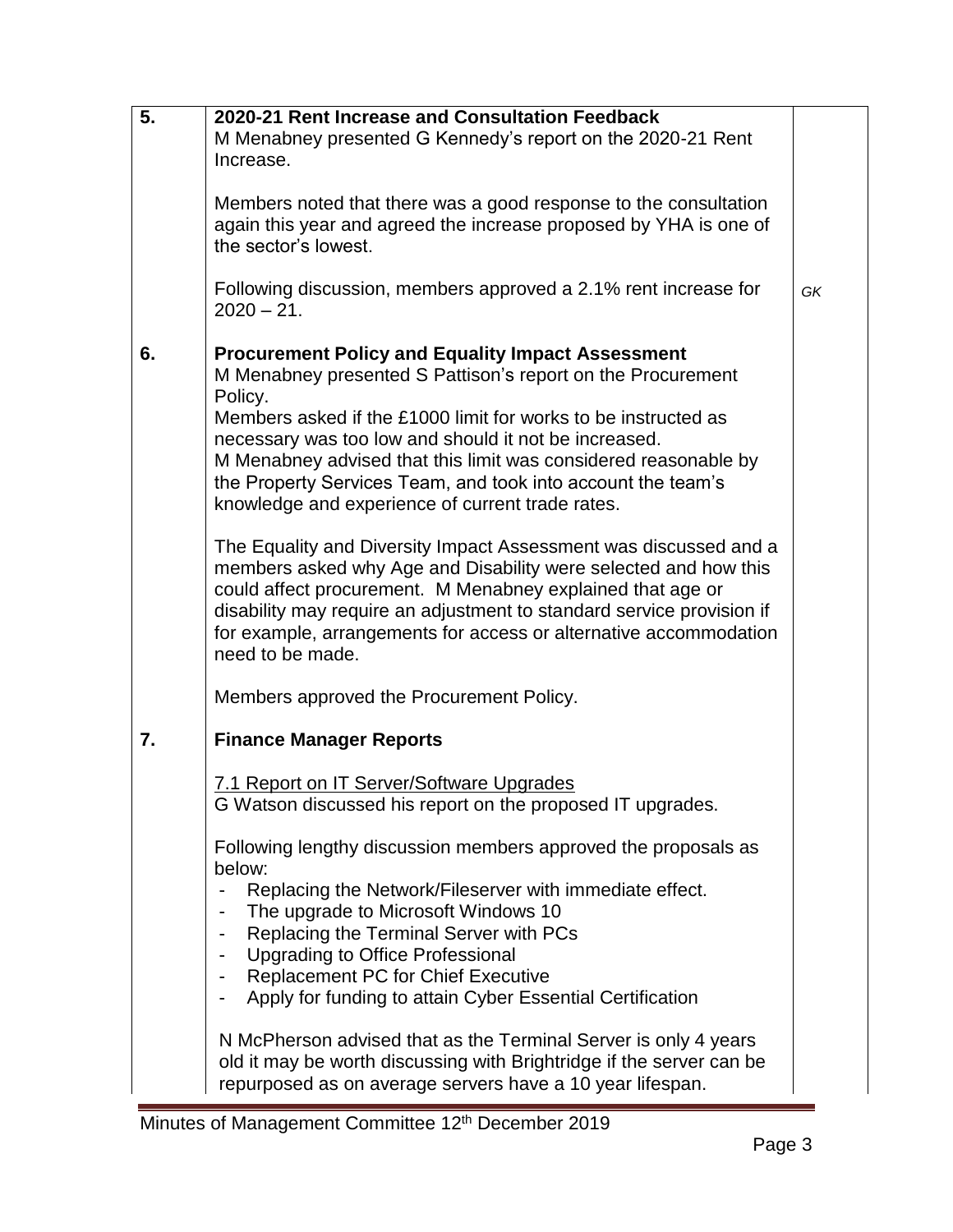| 5. | 2020-21 Rent Increase and Consultation Feedback<br>M Menabney presented G Kennedy's report on the 2020-21 Rent<br>Increase.                                                                                                                                                                                                                                         |    |
|----|---------------------------------------------------------------------------------------------------------------------------------------------------------------------------------------------------------------------------------------------------------------------------------------------------------------------------------------------------------------------|----|
|    | Members noted that there was a good response to the consultation<br>again this year and agreed the increase proposed by YHA is one of<br>the sector's lowest.                                                                                                                                                                                                       |    |
|    | Following discussion, members approved a 2.1% rent increase for<br>$2020 - 21$ .                                                                                                                                                                                                                                                                                    | GK |
| 6. | <b>Procurement Policy and Equality Impact Assessment</b><br>M Menabney presented S Pattison's report on the Procurement<br>Policy.                                                                                                                                                                                                                                  |    |
|    | Members asked if the £1000 limit for works to be instructed as<br>necessary was too low and should it not be increased.<br>M Menabney advised that this limit was considered reasonable by<br>the Property Services Team, and took into account the team's<br>knowledge and experience of current trade rates.                                                      |    |
|    | The Equality and Diversity Impact Assessment was discussed and a<br>members asked why Age and Disability were selected and how this<br>could affect procurement. M Menabney explained that age or<br>disability may require an adjustment to standard service provision if<br>for example, arrangements for access or alternative accommodation<br>need to be made. |    |
|    | Members approved the Procurement Policy.                                                                                                                                                                                                                                                                                                                            |    |
| 7. | <b>Finance Manager Reports</b>                                                                                                                                                                                                                                                                                                                                      |    |
|    | 7.1 Report on IT Server/Software Upgrades<br>G Watson discussed his report on the proposed IT upgrades.                                                                                                                                                                                                                                                             |    |
|    | Following lengthy discussion members approved the proposals as<br>below:<br>Replacing the Network/Fileserver with immediate effect.                                                                                                                                                                                                                                 |    |
|    | The upgrade to Microsoft Windows 10<br>Replacing the Terminal Server with PCs<br>-                                                                                                                                                                                                                                                                                  |    |
|    | Upgrading to Office Professional<br><b>Replacement PC for Chief Executive</b><br>-<br>Apply for funding to attain Cyber Essential Certification                                                                                                                                                                                                                     |    |
|    | N McPherson advised that as the Terminal Server is only 4 years<br>old it may be worth discussing with Brightridge if the server can be<br>repurposed as on average servers have a 10 year lifespan.                                                                                                                                                                |    |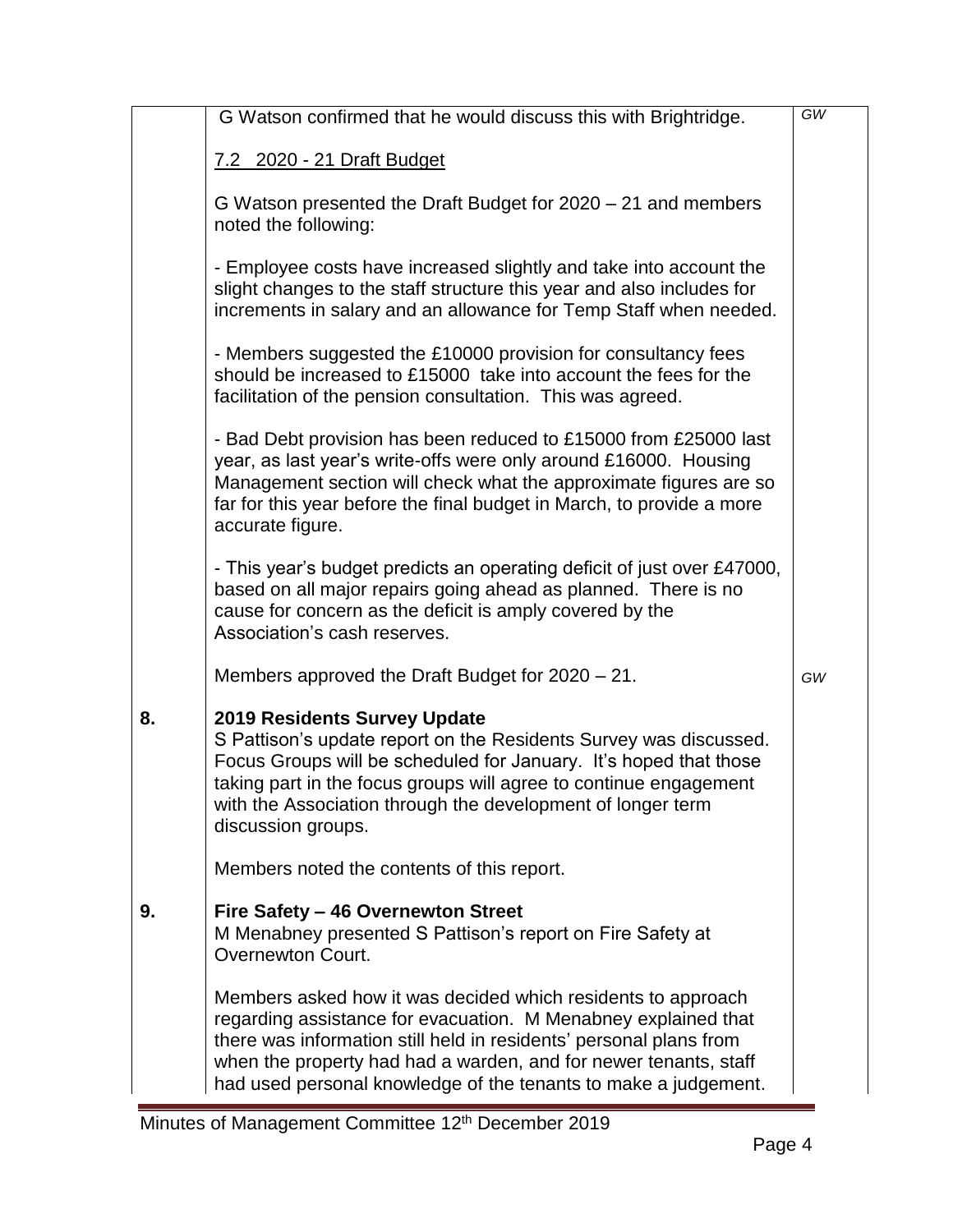|    | G Watson confirmed that he would discuss this with Brightridge.                                                                                                                                                                                                                                                                             | GW |
|----|---------------------------------------------------------------------------------------------------------------------------------------------------------------------------------------------------------------------------------------------------------------------------------------------------------------------------------------------|----|
|    | 7.2 2020 - 21 Draft Budget                                                                                                                                                                                                                                                                                                                  |    |
|    | G Watson presented the Draft Budget for 2020 – 21 and members<br>noted the following:                                                                                                                                                                                                                                                       |    |
|    | - Employee costs have increased slightly and take into account the<br>slight changes to the staff structure this year and also includes for<br>increments in salary and an allowance for Temp Staff when needed.                                                                                                                            |    |
|    | - Members suggested the £10000 provision for consultancy fees<br>should be increased to £15000 take into account the fees for the<br>facilitation of the pension consultation. This was agreed.                                                                                                                                             |    |
|    | - Bad Debt provision has been reduced to £15000 from £25000 last<br>year, as last year's write-offs were only around £16000. Housing<br>Management section will check what the approximate figures are so<br>far for this year before the final budget in March, to provide a more<br>accurate figure.                                      |    |
|    | - This year's budget predicts an operating deficit of just over £47000,<br>based on all major repairs going ahead as planned. There is no<br>cause for concern as the deficit is amply covered by the<br>Association's cash reserves.                                                                                                       |    |
|    | Members approved the Draft Budget for 2020 – 21.                                                                                                                                                                                                                                                                                            | GW |
| 8. | <b>2019 Residents Survey Update</b><br>S Pattison's update report on the Residents Survey was discussed.<br>Focus Groups will be scheduled for January. It's hoped that those<br>taking part in the focus groups will agree to continue engagement<br>with the Association through the development of longer term<br>discussion groups.     |    |
|    | Members noted the contents of this report.                                                                                                                                                                                                                                                                                                  |    |
| 9. | Fire Safety - 46 Overnewton Street<br>M Menabney presented S Pattison's report on Fire Safety at<br>Overnewton Court.                                                                                                                                                                                                                       |    |
|    | Members asked how it was decided which residents to approach<br>regarding assistance for evacuation. M Menabney explained that<br>there was information still held in residents' personal plans from<br>when the property had had a warden, and for newer tenants, staff<br>had used personal knowledge of the tenants to make a judgement. |    |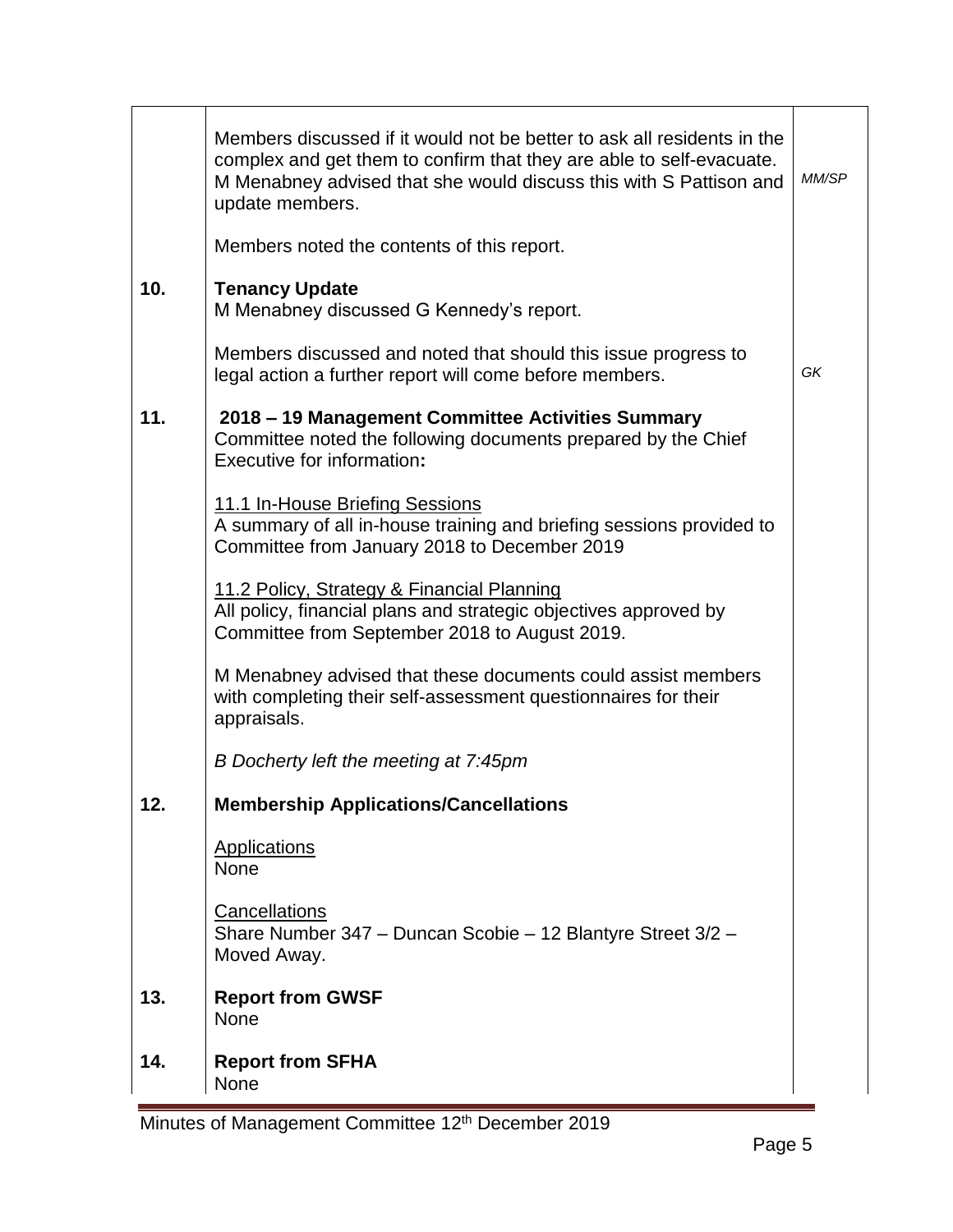|     | Members discussed if it would not be better to ask all residents in the<br>complex and get them to confirm that they are able to self-evacuate.<br>M Menabney advised that she would discuss this with S Pattison and<br>update members. | MM/SP |
|-----|------------------------------------------------------------------------------------------------------------------------------------------------------------------------------------------------------------------------------------------|-------|
|     | Members noted the contents of this report.                                                                                                                                                                                               |       |
| 10. | <b>Tenancy Update</b><br>M Menabney discussed G Kennedy's report.                                                                                                                                                                        |       |
|     | Members discussed and noted that should this issue progress to<br>legal action a further report will come before members.                                                                                                                | GK    |
| 11. | 2018 – 19 Management Committee Activities Summary<br>Committee noted the following documents prepared by the Chief<br>Executive for information:                                                                                         |       |
|     | 11.1 In-House Briefing Sessions<br>A summary of all in-house training and briefing sessions provided to<br>Committee from January 2018 to December 2019                                                                                  |       |
|     | 11.2 Policy, Strategy & Financial Planning<br>All policy, financial plans and strategic objectives approved by<br>Committee from September 2018 to August 2019.                                                                          |       |
|     | M Menabney advised that these documents could assist members<br>with completing their self-assessment questionnaires for their<br>appraisals.                                                                                            |       |
|     | B Docherty left the meeting at 7:45pm                                                                                                                                                                                                    |       |
| 12  | <b>Membership Applications/Cancellations</b>                                                                                                                                                                                             |       |
|     | <b>Applications</b><br><b>None</b>                                                                                                                                                                                                       |       |
|     | Cancellations<br>Share Number 347 - Duncan Scobie - 12 Blantyre Street 3/2 -<br>Moved Away.                                                                                                                                              |       |
| 13. | <b>Report from GWSF</b><br>None                                                                                                                                                                                                          |       |
| 14. | <b>Report from SFHA</b><br>None                                                                                                                                                                                                          |       |

Minutes of Management Committee 12<sup>th</sup> December 2019